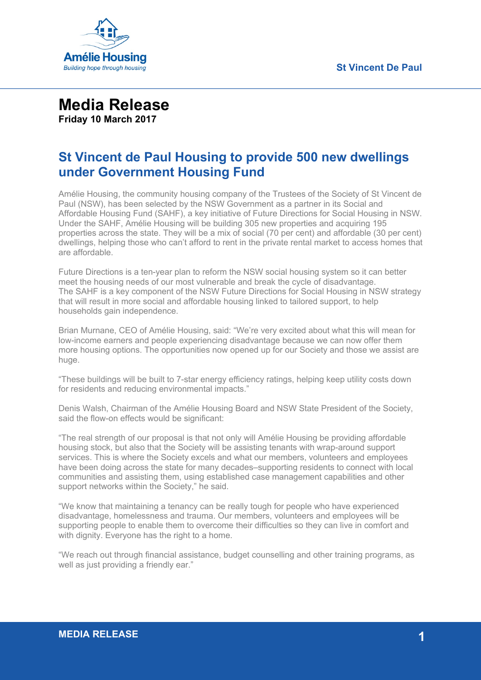

## **Media Release Friday 10 March 2017**

## **St Vincent de Paul Housing to provide 500 new dwellings under Government Housing Fund**

Amélie Housing, the community housing company of the Trustees of the Society of St Vincent de Paul (NSW), has been selected by the NSW Government as a partner in its Social and Affordable Housing Fund (SAHF), a key initiative of Future Directions for Social Housing in NSW. Under the SAHF, Amélie Housing will be building 305 new properties and acquiring 195 properties across the state. They will be a mix of social (70 per cent) and affordable (30 per cent) dwellings, helping those who can't afford to rent in the private rental market to access homes that are affordable.

Future Directions is a ten-year plan to reform the NSW social housing system so it can better meet the housing needs of our most vulnerable and break the cycle of disadvantage. The SAHF is a key component of the NSW Future Directions for Social Housing in NSW strategy that will result in more social and affordable housing linked to tailored support, to help households gain independence.

Brian Murnane, CEO of Amélie Housing, said: "We're very excited about what this will mean for low-income earners and people experiencing disadvantage because we can now offer them more housing options. The opportunities now opened up for our Society and those we assist are huge.

"These buildings will be built to 7-star energy efficiency ratings, helping keep utility costs down for residents and reducing environmental impacts."

Denis Walsh, Chairman of the Amélie Housing Board and NSW State President of the Society, said the flow-on effects would be significant:

"The real strength of our proposal is that not only will Amélie Housing be providing affordable housing stock, but also that the Society will be assisting tenants with wrap-around support services. This is where the Society excels and what our members, volunteers and employees have been doing across the state for many decades–supporting residents to connect with local communities and assisting them, using established case management capabilities and other support networks within the Society," he said.

"We know that maintaining a tenancy can be really tough for people who have experienced disadvantage, homelessness and trauma. Our members, volunteers and employees will be supporting people to enable them to overcome their difficulties so they can live in comfort and with dignity. Everyone has the right to a home.

"We reach out through financial assistance, budget counselling and other training programs, as well as just providing a friendly ear."